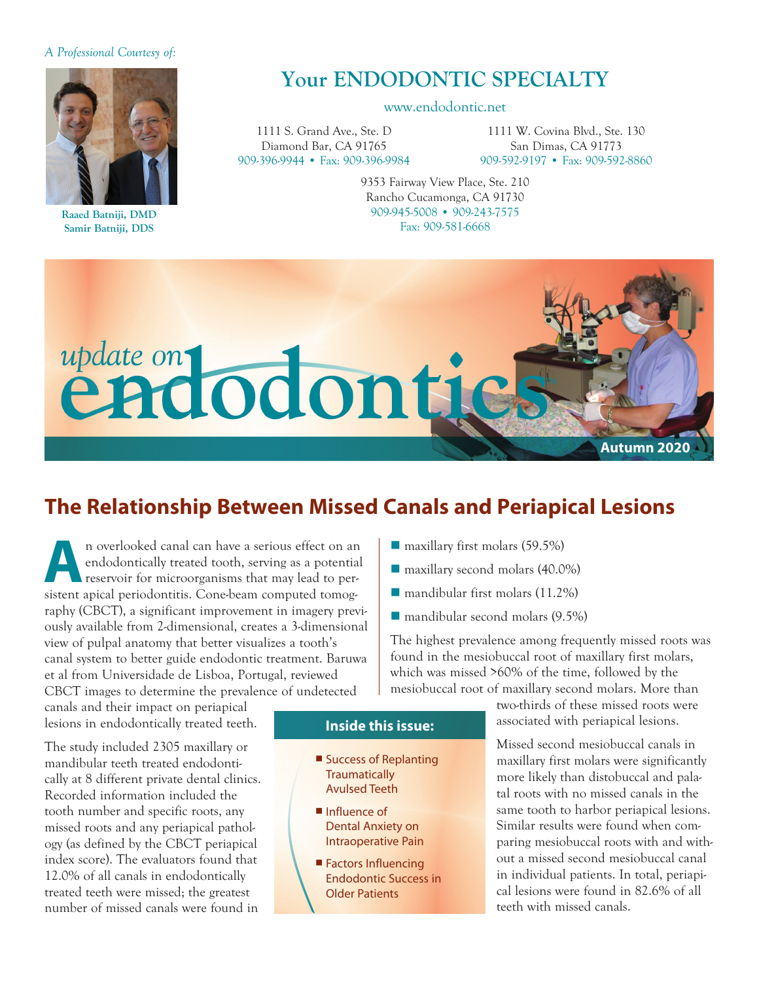#### *A Professional Courtesy of:*



**Raaed Batniji, DMD Samir Batniji, DDS**

# **Your ENDODONTIC SPECIALTY**

#### www.endodontic.net

1111 S. Grand Ave., Ste. D Diamond Bar, CA 91765 909-396-9944 • Fax: 909-396-9984

1111 W. Covina Blvd., Ste. 130 San Dimas, CA 91773 909-592-9197 • Fax: 909-592-8860

9353 Fairway View Place, Ste. 210 Rancho Cucamonga, CA 91730 909-945-5008 • 909-243-7575 Fax: 909-581-6668



## **The Relationship Between Missed Canals and Periapical Lesions**

**A**n overlooked canal can have a serious effect on an endodontically treated tooth, serving as a potential reservoir for microorganisms that may lead to perendodontically treated tooth, serving as a potential sistent apical periodontitis. Cone-beam computed tomography (CBCT), a significant improvement in imagery previously available from 2-dimensional, creates a 3-dimensional view of pulpal anatomy that better visualizes a tooth's canal system to better guide endodontic treatment. Baruwa et al from Universidade de Lisboa, Portugal, reviewed CBCT images to determine the prevalence of undetected

canals and their impact on periapical lesions in endodontically treated teeth.

The study included 2305 maxillary or mandibular teeth treated endodontically at 8 different private dental clinics. Recorded information included the tooth number and specific roots, any missed roots and any periapical pathology (as defined by the CBCT periapical index score). The evaluators found that 12.0% of all canals in endodontically treated teeth were missed; the greatest number of missed canals were found in

- $\blacksquare$  maxillary first molars (59.5%)
- $\blacksquare$  maxillary second molars (40.0%)
- $\blacksquare$  mandibular first molars (11.2%)
- $\blacksquare$  mandibular second molars (9.5%)

The highest prevalence among frequently missed roots was found in the mesiobuccal root of maxillary first molars, which was missed >60% of the time, followed by the mesiobuccal root of maxillary second molars. More than

two-thirds of these missed roots were associated with periapical lesions.

Missed second mesiobuccal canals in maxillary first molars were significantly more likely than distobuccal and palatal roots with no missed canals in the same tooth to harbor periapical lesions. Similar results were found when comparing mesiobuccal roots with and without a missed second mesiobuccal canal in individual patients. In total, periapical lesions were found in 82.6% of all teeth with missed canals.

### **Inside this issue:**

- Success of Replanting **Traumatically** Avulsed Teeth
- Influence of Dental Anxiety on Intraoperative Pain
- Factors Influencing Endodontic Success in Older Patients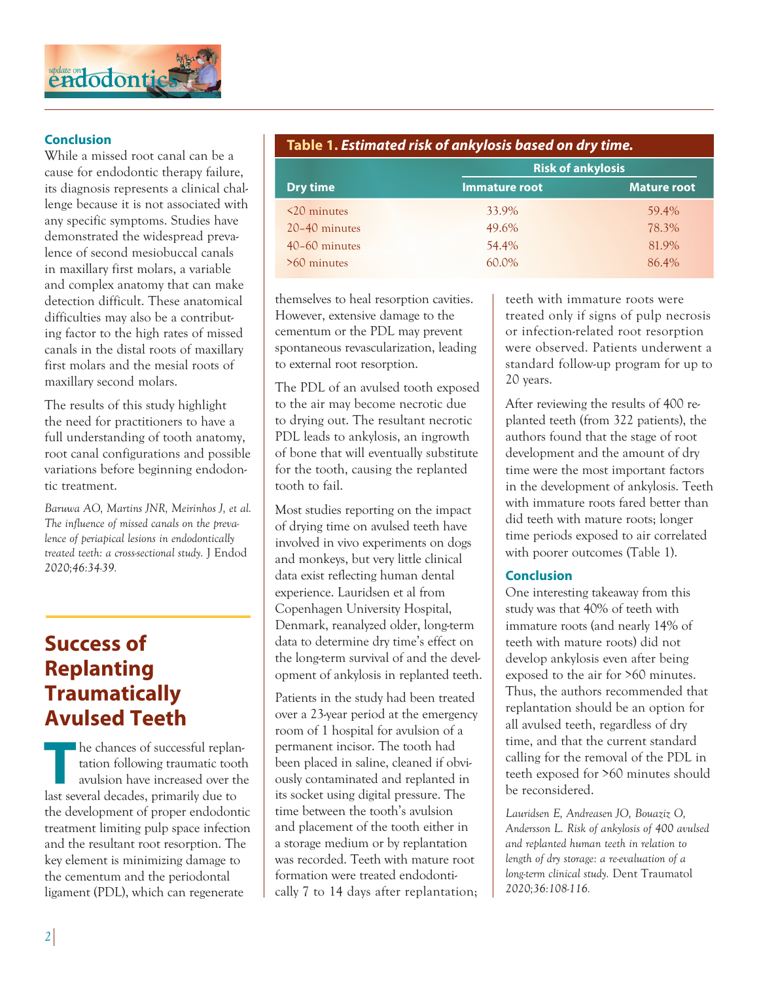

### **Conclusion**

While a missed root canal can be a cause for endodontic therapy failure, its diagnosis represents a clinical challenge because it is not associated with any specific symptoms. Studies have demonstrated the widespread prevalence of second mesiobuccal canals in maxillary first molars, a variable and complex anatomy that can make detection difficult. These anatomical difficulties may also be a contributing factor to the high rates of missed canals in the distal roots of maxillary first molars and the mesial roots of maxillary second molars.

The results of this study highlight the need for practitioners to have a full understanding of tooth anatomy, root canal configurations and possible variations before beginning endodontic treatment.

*Baruwa AO, Martins JNR, Meirinhos J, et al. The influence of missed canals on the prevalence of periapical lesions in endodontically treated teeth: a cross-sectional study.* J Endod *2020;46:34-39.*

## **Success of Replanting Traumatically Avulsed Teeth**

**The chances of successful replantation following traumatic tooth**<br>avulsion have increased over the lest several decedes primarily due to tation following traumatic tooth avulsion have increased over the last several decades, primarily due to the development of proper endodontic treatment limiting pulp space infection and the resultant root resorption. The key element is minimizing damage to the cementum and the periodontal ligament (PDL), which can regenerate

### **Table 1.** *Estimated risk of ankylosis based on dry time.*

|                   | <b>Risk of ankylosis</b> |                    |  |
|-------------------|--------------------------|--------------------|--|
| <b>Dry time</b>   | Immature root            | <b>Mature root</b> |  |
| $\leq$ 20 minutes | 33.9%                    | 59.4%              |  |
| 20–40 minutes     | 49.6%                    | 78.3%              |  |
| 40-60 minutes     | 54.4%                    | 81.9%              |  |
| $>60$ minutes     | $60.0\%$                 | 86.4%              |  |

themselves to heal resorption cavities. However, extensive damage to the cementum or the PDL may prevent spontaneous revascularization, leading to external root resorption.

The PDL of an avulsed tooth exposed to the air may become necrotic due to drying out. The resultant necrotic PDL leads to ankylosis, an ingrowth of bone that will eventually substitute for the tooth, causing the replanted tooth to fail.

Most studies reporting on the impact of drying time on avulsed teeth have involved in vivo experiments on dogs and monkeys, but very little clinical data exist reflecting human dental experience. Lauridsen et al from Copenhagen University Hospital, Denmark, reanalyzed older, long-term data to determine dry time's effect on the long-term survival of and the development of ankylosis in replanted teeth.

Patients in the study had been treated over a 23-year period at the emergency room of 1 hospital for avulsion of a permanent incisor. The tooth had been placed in saline, cleaned if obviously contaminated and replanted in its socket using digital pressure. The time between the tooth's avulsion and placement of the tooth either in a storage medium or by replantation was recorded. Teeth with mature root formation were treated endodontically 7 to 14 days after replantation;

teeth with immature roots were treated only if signs of pulp necrosis or infection-related root resorption were observed. Patients underwent a standard follow-up program for up to 20 years.

After reviewing the results of 400 replanted teeth (from 322 patients), the authors found that the stage of root development and the amount of dry time were the most important factors in the development of ankylosis. Teeth with immature roots fared better than did teeth with mature roots; longer time periods exposed to air correlated with poorer outcomes (Table 1).

#### **Conclusion**

One interesting takeaway from this study was that 40% of teeth with immature roots (and nearly 14% of teeth with mature roots) did not develop ankylosis even after being exposed to the air for >60 minutes. Thus, the authors recommended that replantation should be an option for all avulsed teeth, regardless of dry time, and that the current standard calling for the removal of the PDL in teeth exposed for >60 minutes should be reconsidered.

*Lauridsen E, Andreasen JO, Bouaziz O, Andersson L. Risk of ankylosis of 400 avulsed and replanted human teeth in relation to length of dry storage: a re-evaluation of a long-term clinical study.* Dent Traumatol *2020;36:108-116.*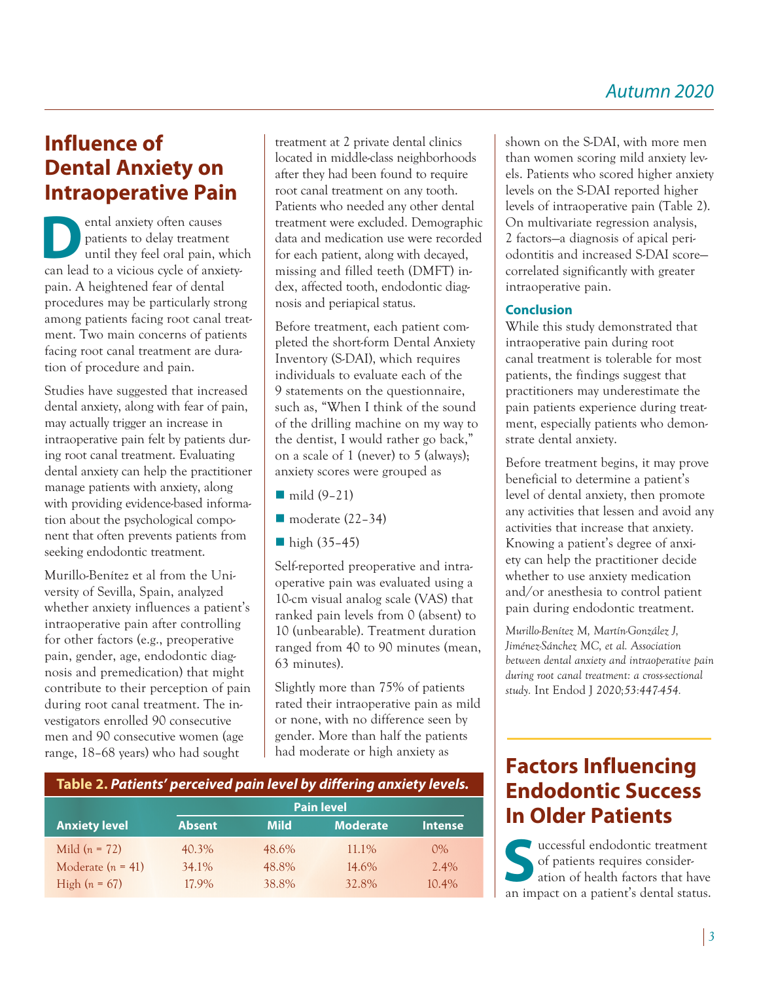## **Influence of Dental Anxiety on Intraoperative Pain**

**D**ental anxiety often causes<br>patients to delay treatmen<br>until they feel oral pain, w patients to delay treatment until they feel oral pain, which can lead to a vicious cycle of anxietypain. A heightened fear of dental procedures may be particularly strong among patients facing root canal treatment. Two main concerns of patients facing root canal treatment are duration of procedure and pain.

Studies have suggested that increased dental anxiety, along with fear of pain, may actually trigger an increase in intraoperative pain felt by patients during root canal treatment. Evaluating dental anxiety can help the practitioner manage patients with anxiety, along with providing evidence-based information about the psychological component that often prevents patients from seeking endodontic treatment.

Murillo-Benítez et al from the University of Sevilla, Spain, analyzed whether anxiety influences a patient's intraoperative pain after controlling for other factors (e.g., preoperative pain, gender, age, endodontic diagnosis and premedication) that might contribute to their perception of pain during root canal treatment. The investigators enrolled 90 consecutive men and 90 consecutive women (age range, 18–68 years) who had sought

treatment at 2 private dental clinics located in middle-class neighborhoods after they had been found to require root canal treatment on any tooth. Patients who needed any other dental treatment were excluded. Demographic data and medication use were recorded for each patient, along with decayed, missing and filled teeth (DMFT) index, affected tooth, endodontic diagnosis and periapical status.

Before treatment, each patient completed the short-form Dental Anxiety Inventory (S-DAI), which requires individuals to evaluate each of the 9 statements on the questionnaire, such as, "When I think of the sound of the drilling machine on my way to the dentist, I would rather go back," on a scale of 1 (never) to 5 (always); anxiety scores were grouped as

- $\blacksquare$  mild (9–21)
- $\blacksquare$  moderate (22-34)
- $\blacksquare$  high (35–45)

Self-reported preoperative and intraoperative pain was evaluated using a 10-cm visual analog scale (VAS) that ranked pain levels from 0 (absent) to 10 (unbearable). Treatment duration ranged from 40 to 90 minutes (mean, 63 minutes).

Slightly more than 75% of patients rated their intraoperative pain as mild or none, with no difference seen by gender. More than half the patients had moderate or high anxiety as

## **Table 2.** *Patients' perceived pain level by differing anxiety levels.*

|                      |               | <b>Pain level</b> |                 |                |  |
|----------------------|---------------|-------------------|-----------------|----------------|--|
| <b>Anxiety level</b> | <b>Absent</b> | <b>Mild</b>       | <b>Moderate</b> | <b>Intense</b> |  |
| Mild $(n = 72)$      | $40.3\%$      | 48.6%             | 11.1%           | $0\%$          |  |
| Moderate $(n = 41)$  | 34.1%         | 48.8%             | $14.6\%$        | 2.4%           |  |
| High $(n = 67)$      | 17.9%         | 38.8%             | 32.8%           | 10.4%          |  |

shown on the S-DAI, with more men than women scoring mild anxiety levels. Patients who scored higher anxiety levels on the S-DAI reported higher levels of intraoperative pain (Table 2). On multivariate regression analysis, 2 factors—a diagnosis of apical periodontitis and increased S-DAI score correlated significantly with greater intraoperative pain.

### **Conclusion**

While this study demonstrated that intraoperative pain during root canal treatment is tolerable for most patients, the findings suggest that practitioners may underestimate the pain patients experience during treatment, especially patients who demonstrate dental anxiety.

Before treatment begins, it may prove beneficial to determine a patient's level of dental anxiety, then promote any activities that lessen and avoid any activities that increase that anxiety. Knowing a patient's degree of anxiety can help the practitioner decide whether to use anxiety medication and/or anesthesia to control patient pain during endodontic treatment.

*Murillo-Benítez M, Martín-González J, Jiménez-Sánchez MC, et al. Association between dental anxiety and intraoperative pain during root canal treatment: a cross-sectional study.* Int Endod J *2020;53:447-454.*

# **Factors Influencing Endodontic Success In Older Patients**

Successful endodontic treatment<br>
ation of health factors that have<br>
an impact on a patient's dontal status of patients requires consideran impact on a patient's dental status.